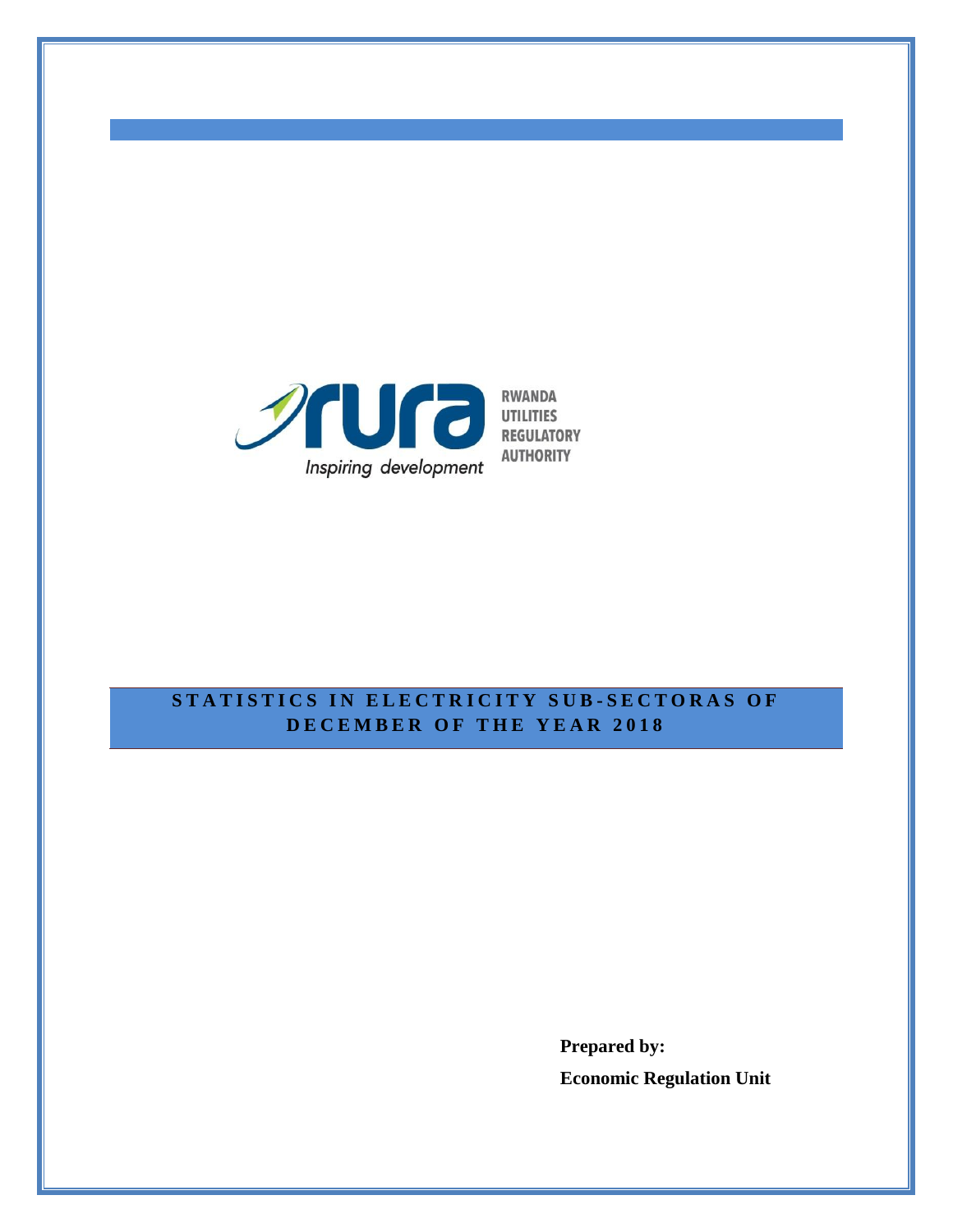

# **STATISTICS IN ELECTRICITY SUB-SECTORAS OF D E C E M B E R O F T H E Y E A R 2 0 1 8**

**Prepared by: Economic Regulation Unit**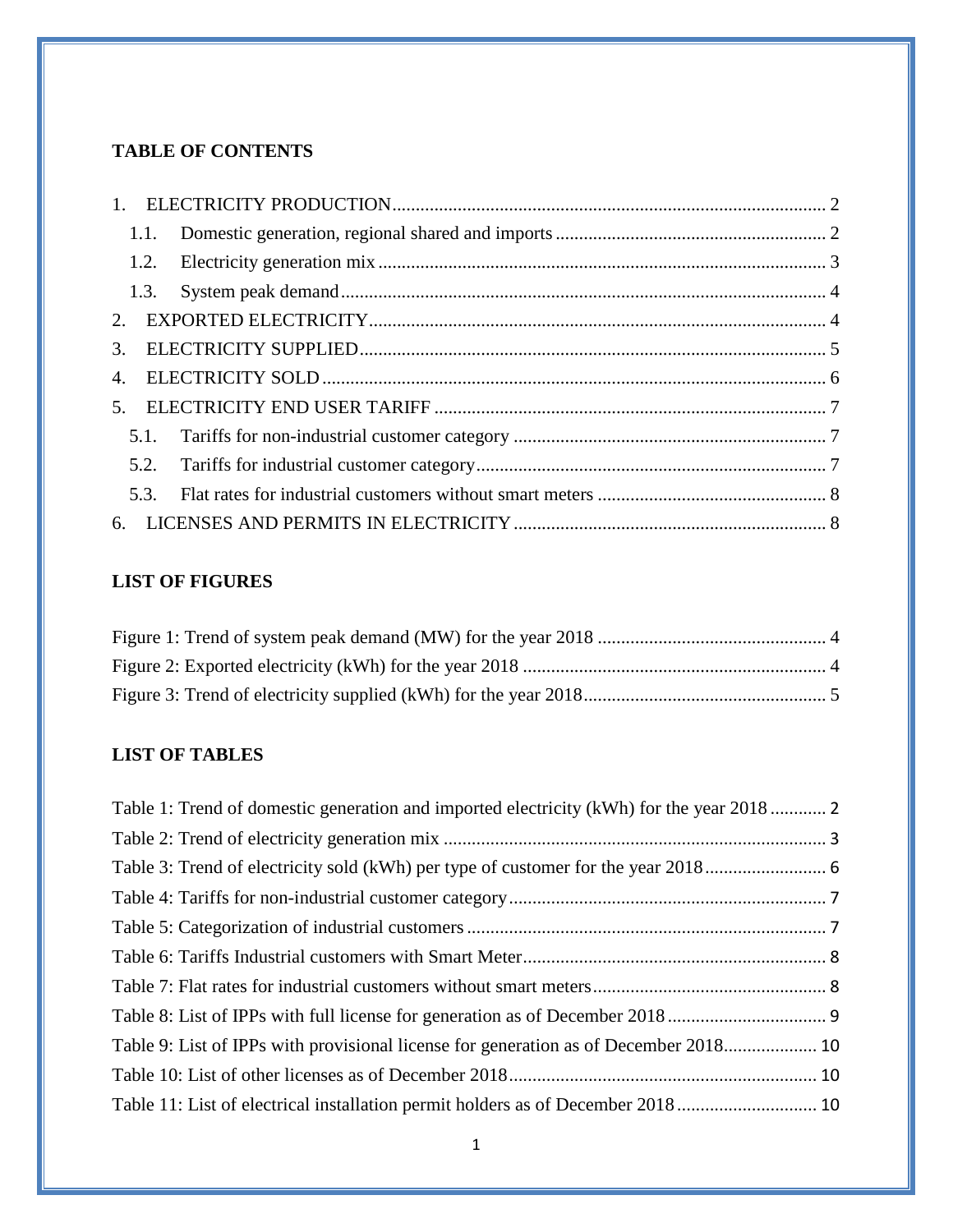# **TABLE OF CONTENTS**

| 3. |  |
|----|--|
| 4. |  |
| 5. |  |
|    |  |
|    |  |
|    |  |
| 6. |  |
|    |  |

# **LIST OF FIGURES**

# **LIST OF TABLES**

| Table 1: Trend of domestic generation and imported electricity (kWh) for the year 2018 |  |
|----------------------------------------------------------------------------------------|--|
|                                                                                        |  |
|                                                                                        |  |
|                                                                                        |  |
|                                                                                        |  |
|                                                                                        |  |
|                                                                                        |  |
|                                                                                        |  |
| Table 9: List of IPPs with provisional license for generation as of December 2018 10   |  |
|                                                                                        |  |
|                                                                                        |  |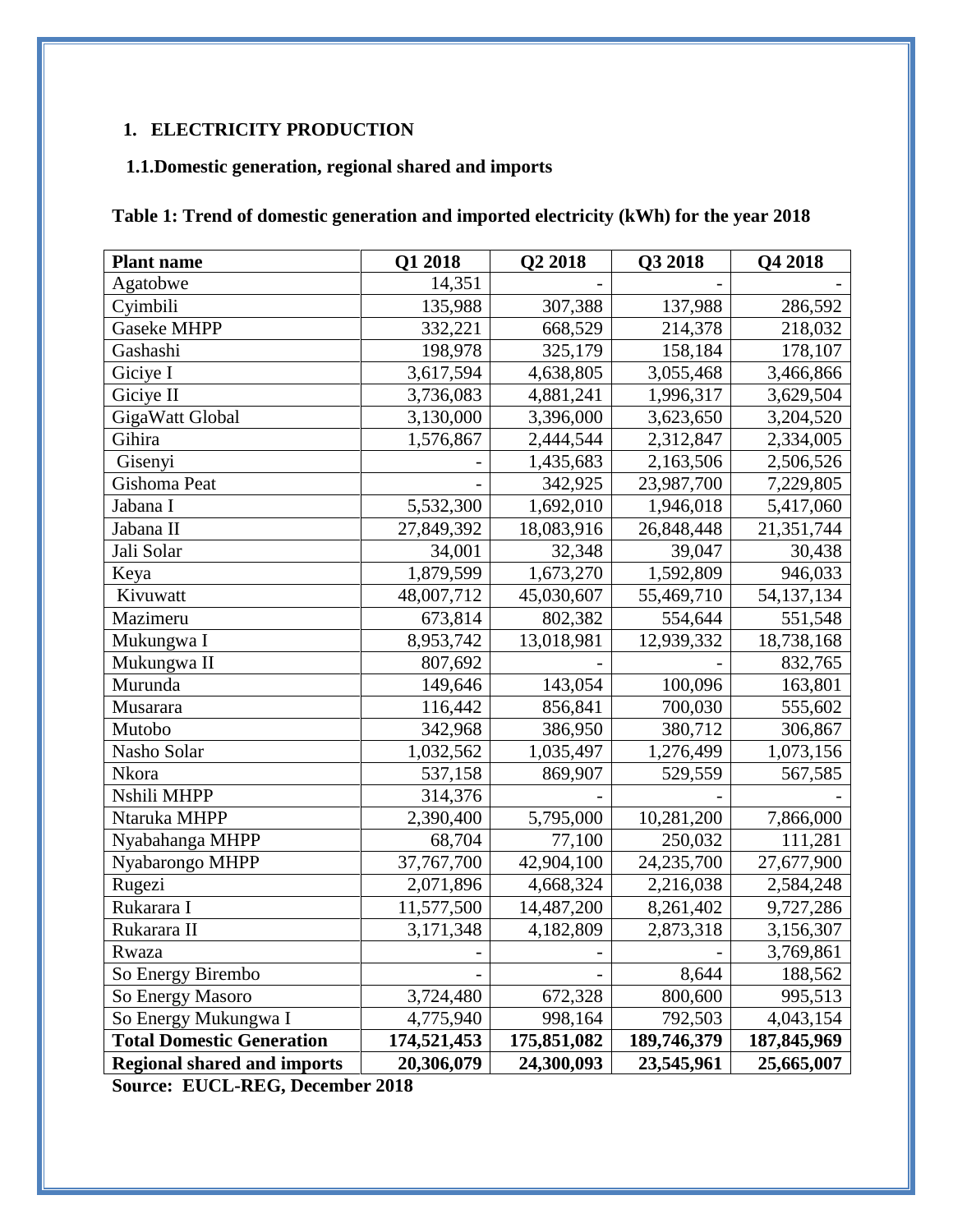# <span id="page-2-0"></span>**1. ELECTRICITY PRODUCTION**

# <span id="page-2-1"></span>**1.1.Domestic generation, regional shared and imports**

# <span id="page-2-2"></span>**Table 1: Trend of domestic generation and imported electricity (kWh) for the year 2018**

| <b>Plant name</b>                  | Q1 2018     | Q2 2018     | Q3 2018     | <b>O4 2018</b> |
|------------------------------------|-------------|-------------|-------------|----------------|
| Agatobwe                           | 14,351      |             |             |                |
| Cyimbili                           | 135,988     | 307,388     | 137,988     | 286,592        |
| <b>Gaseke MHPP</b>                 | 332,221     | 668,529     | 214,378     | 218,032        |
| Gashashi                           | 198,978     | 325,179     | 158,184     | 178,107        |
| Giciye I                           | 3,617,594   | 4,638,805   | 3,055,468   | 3,466,866      |
| Giciye II                          | 3,736,083   | 4,881,241   | 1,996,317   | 3,629,504      |
| GigaWatt Global                    | 3,130,000   | 3,396,000   | 3,623,650   | 3,204,520      |
| Gihira                             | 1,576,867   | 2,444,544   | 2,312,847   | 2,334,005      |
| Gisenyi                            |             | 1,435,683   | 2,163,506   | 2,506,526      |
| Gishoma Peat                       |             | 342,925     | 23,987,700  | 7,229,805      |
| Jabana I                           | 5,532,300   | 1,692,010   | 1,946,018   | 5,417,060      |
| Jabana II                          | 27,849,392  | 18,083,916  | 26,848,448  | 21,351,744     |
| Jali Solar                         | 34,001      | 32,348      | 39,047      | 30,438         |
| Keya                               | 1,879,599   | 1,673,270   | 1,592,809   | 946,033        |
| Kivuwatt                           | 48,007,712  | 45,030,607  | 55,469,710  | 54,137,134     |
| Mazimeru                           | 673,814     | 802,382     | 554,644     | 551,548        |
| Mukungwa I                         | 8,953,742   | 13,018,981  | 12,939,332  | 18,738,168     |
| Mukungwa II                        | 807,692     |             |             | 832,765        |
| Murunda                            | 149,646     | 143,054     | 100,096     | 163,801        |
| Musarara                           | 116,442     | 856,841     | 700,030     | 555,602        |
| Mutobo                             | 342,968     | 386,950     | 380,712     | 306,867        |
| Nasho Solar                        | 1,032,562   | 1,035,497   | 1,276,499   | 1,073,156      |
| Nkora                              | 537,158     | 869,907     | 529,559     | 567,585        |
| Nshili MHPP                        | 314,376     |             |             |                |
| Ntaruka MHPP                       | 2,390,400   | 5,795,000   | 10,281,200  | 7,866,000      |
| Nyabahanga MHPP                    | 68,704      | 77,100      | 250,032     | 111,281        |
| Nyabarongo MHPP                    | 37,767,700  | 42,904,100  | 24,235,700  | 27,677,900     |
| Rugezi                             | 2,071,896   | 4,668,324   | 2,216,038   | 2,584,248      |
| Rukarara I                         | 11,577,500  | 14,487,200  | 8,261,402   | 9,727,286      |
| Rukarara II                        | 3,171,348   | 4,182,809   | 2,873,318   | 3,156,307      |
| Rwaza                              |             |             |             | 3,769,861      |
| So Energy Birembo                  |             |             | 8,644       | 188,562        |
| So Energy Masoro                   | 3,724,480   | 672,328     | 800,600     | 995,513        |
| So Energy Mukungwa I               | 4,775,940   | 998,164     | 792,503     | 4,043,154      |
| <b>Total Domestic Generation</b>   | 174,521,453 | 175,851,082 | 189,746,379 | 187,845,969    |
| <b>Regional shared and imports</b> | 20,306,079  | 24,300,093  | 23,545,961  | 25,665,007     |

**Source: EUCL-REG, December 2018**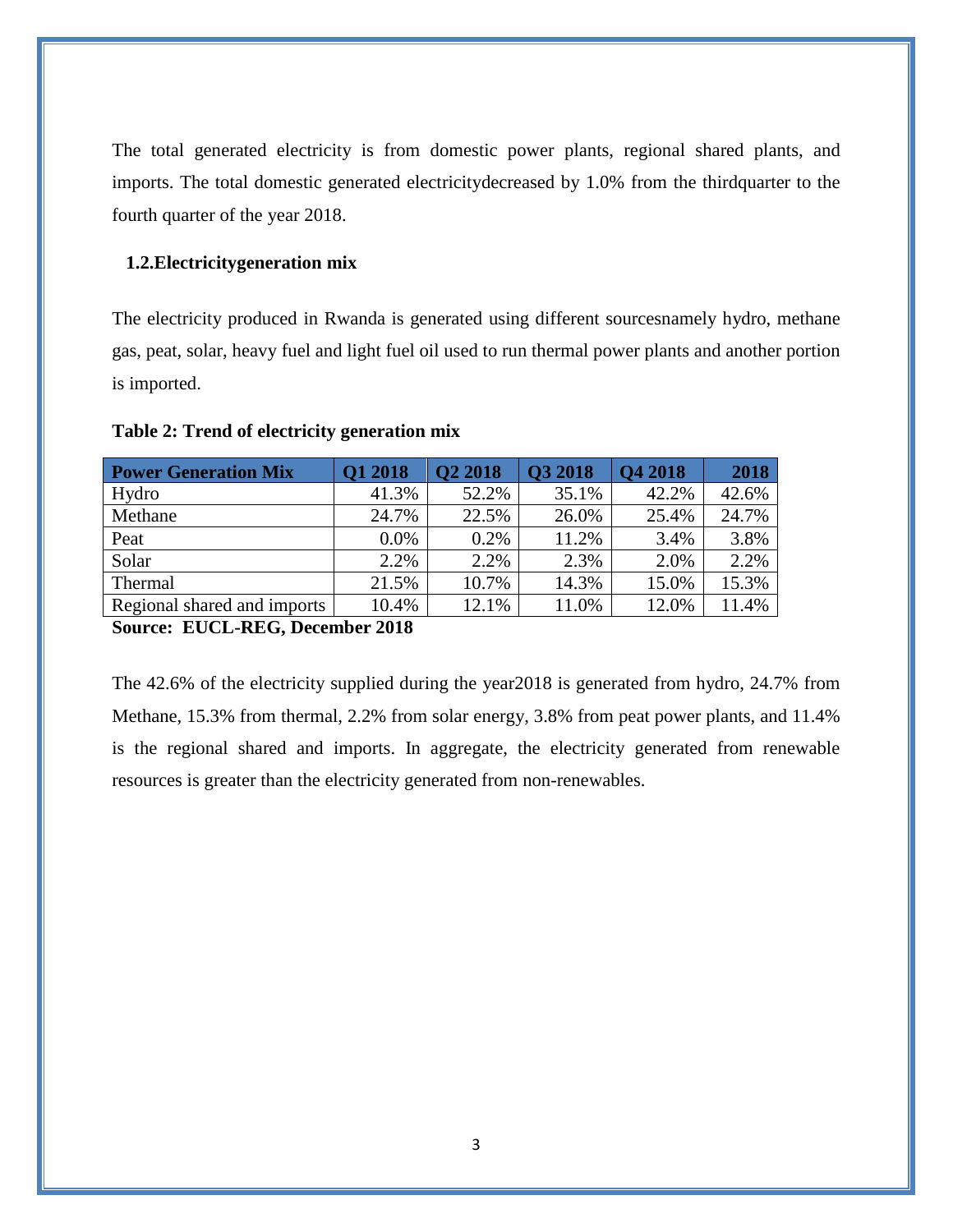The total generated electricity is from domestic power plants, regional shared plants, and imports. The total domestic generated electricitydecreased by 1.0% from the thirdquarter to the fourth quarter of the year 2018.

#### <span id="page-3-0"></span>**1.2.Electricitygeneration mix**

The electricity produced in Rwanda is generated using different sourcesnamely hydro, methane gas, peat, solar, heavy fuel and light fuel oil used to run thermal power plants and another portion is imported.

| <b>Power Generation Mix</b> | Q1 2018 | Q2 2018 | <b>Q3 2018</b> | <b>Q4 2018</b> | 2018  |
|-----------------------------|---------|---------|----------------|----------------|-------|
| Hydro                       | 41.3%   | 52.2%   | 35.1%          | 42.2%          | 42.6% |
| Methane                     | 24.7%   | 22.5%   | 26.0%          | 25.4%          | 24.7% |
| Peat                        | $0.0\%$ | 0.2%    | 11.2%          | 3.4%           | 3.8%  |
| Solar                       | 2.2%    | 2.2%    | 2.3%           | 2.0%           | 2.2%  |
| Thermal                     | 21.5%   | 10.7%   | 14.3%          | 15.0%          | 15.3% |
| Regional shared and imports | 10.4%   | 12.1%   | 11.0%          | 12.0%          | 11.4% |
|                             |         |         |                |                |       |

#### <span id="page-3-1"></span>**Table 2: Trend of electricity generation mix**

**Source: EUCL-REG, December 2018**

The 42.6% of the electricity supplied during the year2018 is generated from hydro, 24.7% from Methane, 15.3% from thermal, 2.2% from solar energy, 3.8% from peat power plants, and 11.4% is the regional shared and imports. In aggregate, the electricity generated from renewable resources is greater than the electricity generated from non-renewables.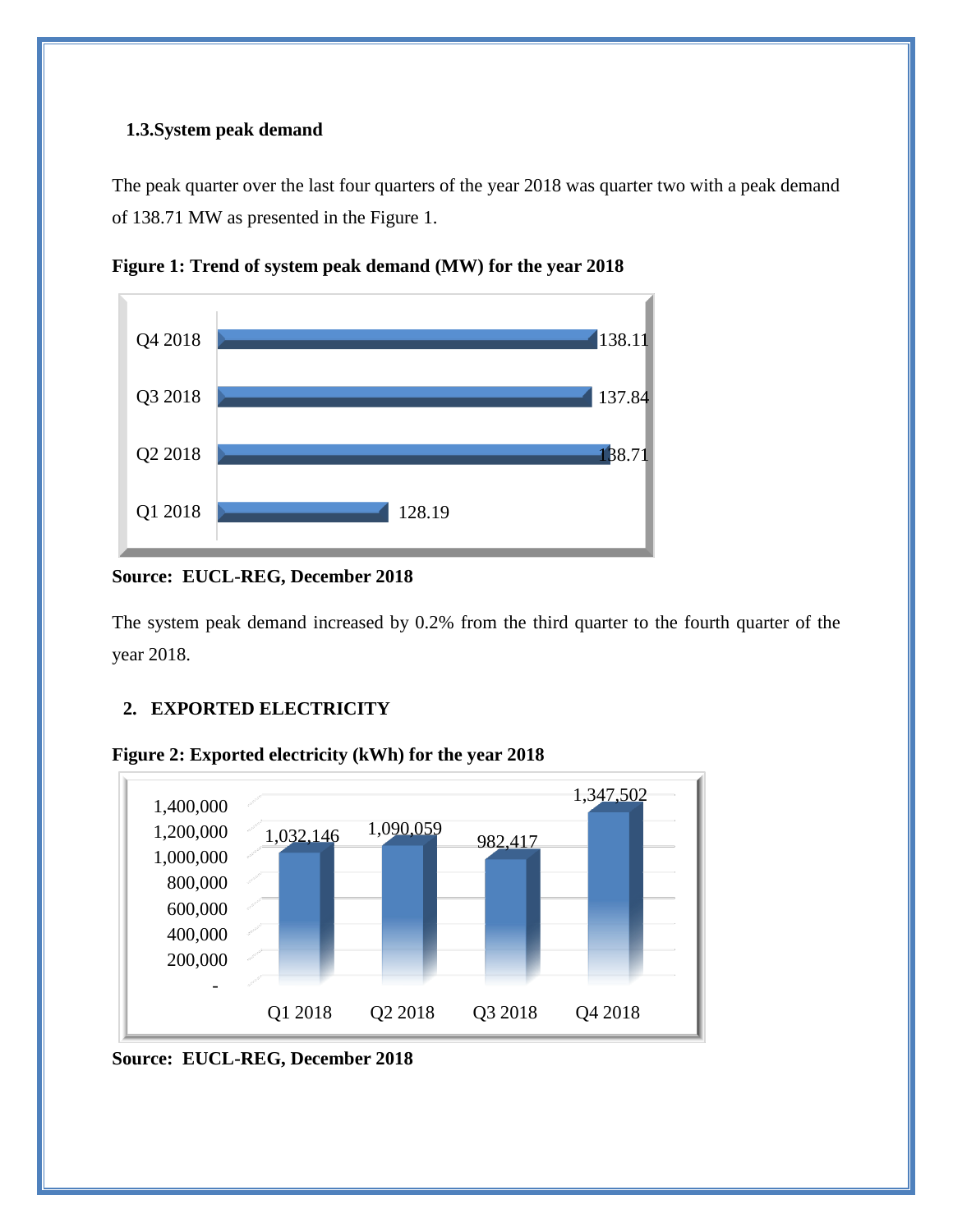#### <span id="page-4-0"></span>**1.3.System peak demand**

The peak quarter over the last four quarters of the year 2018 was quarter two with a peak demand of 138.71 MW as presented in the Figure 1.



<span id="page-4-2"></span>**Figure 1: Trend of system peak demand (MW) for the year 2018**

The system peak demand increased by 0.2% from the third quarter to the fourth quarter of the year 2018.

## <span id="page-4-1"></span>**2. EXPORTED ELECTRICITY**

<span id="page-4-3"></span>



**Source: EUCL-REG, December 2018**

**Source: EUCL-REG, December 2018**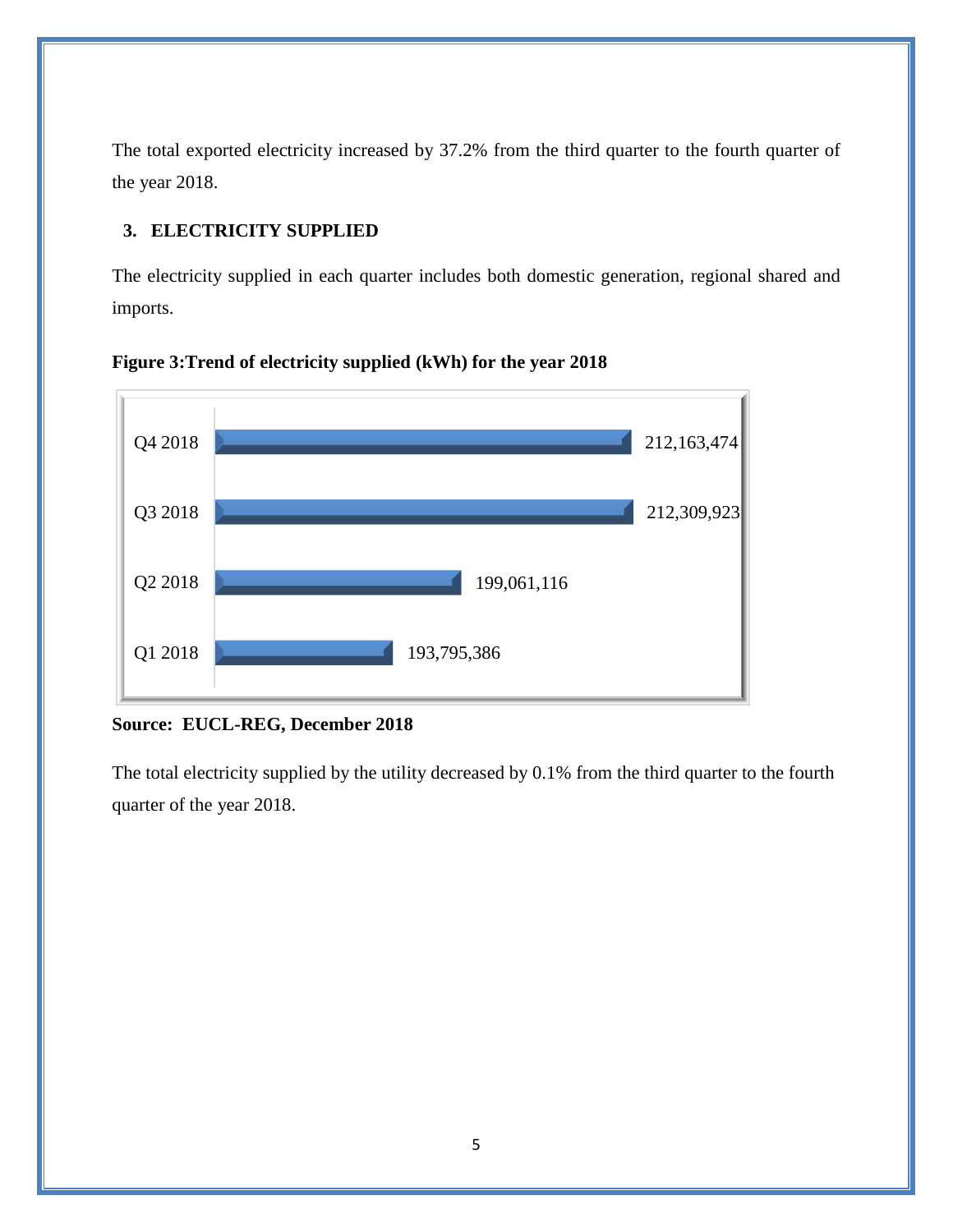The total exported electricity increased by 37.2% from the third quarter to the fourth quarter of the year 2018.

# <span id="page-5-0"></span>**3. ELECTRICITY SUPPLIED**

The electricity supplied in each quarter includes both domestic generation, regional shared and imports.

<span id="page-5-1"></span>



## **Source: EUCL-REG, December 2018**

The total electricity supplied by the utility decreased by 0.1% from the third quarter to the fourth quarter of the year 2018.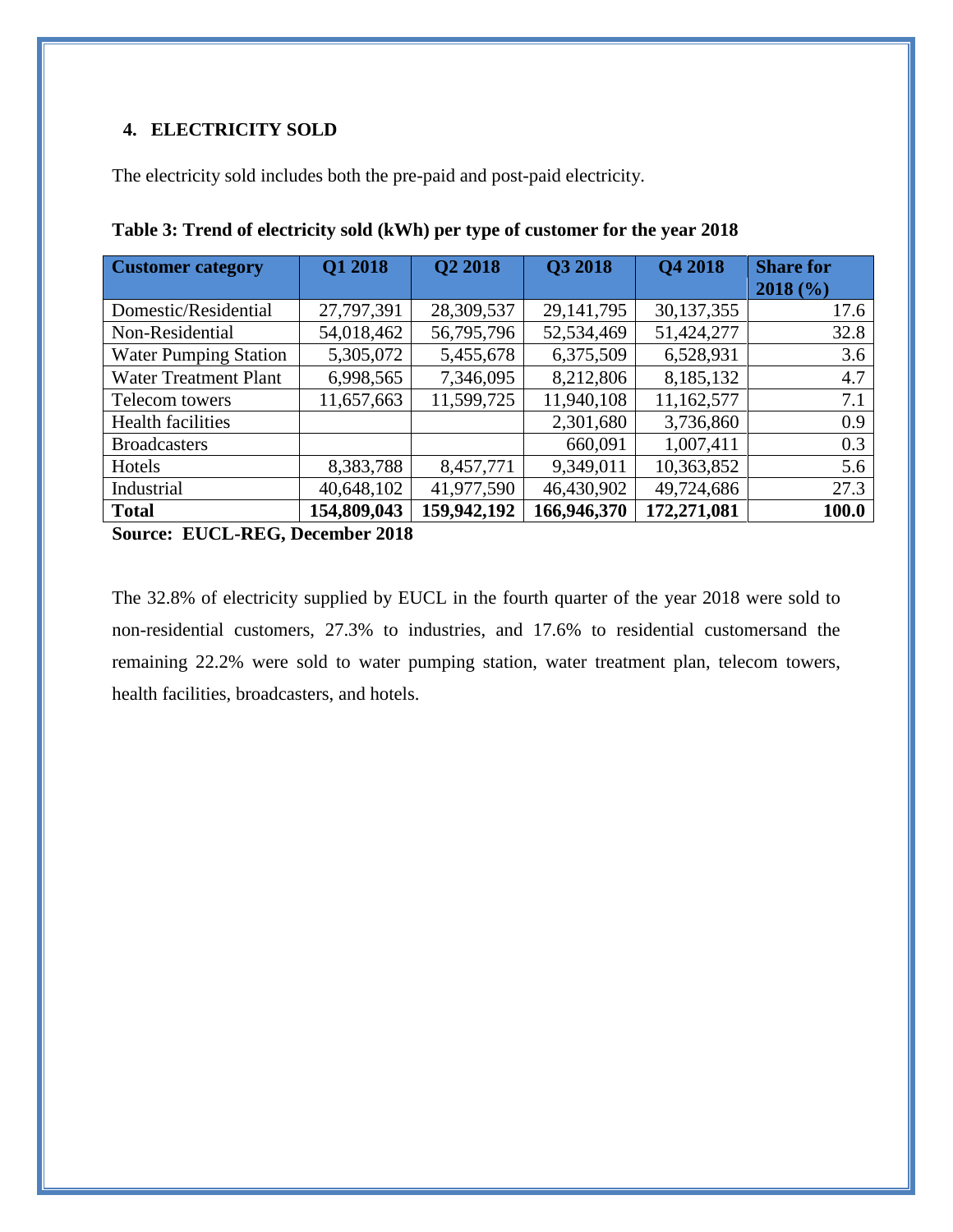## <span id="page-6-0"></span>**4. ELECTRICITY SOLD**

The electricity sold includes both the pre-paid and post-paid electricity.

| <b>Customer category</b>     | Q1 2018     | Q2 2018     | Q3 2018      | <b>Q4 2018</b> | <b>Share for</b><br>2018(%) |
|------------------------------|-------------|-------------|--------------|----------------|-----------------------------|
| Domestic/Residential         | 27,797,391  | 28,309,537  | 29, 141, 795 | 30,137,355     | 17.6                        |
| Non-Residential              | 54,018,462  | 56,795,796  | 52,534,469   | 51,424,277     | 32.8                        |
| <b>Water Pumping Station</b> | 5,305,072   | 5,455,678   | 6,375,509    | 6,528,931      | 3.6                         |
| <b>Water Treatment Plant</b> | 6,998,565   | 7,346,095   | 8,212,806    | 8,185,132      | 4.7                         |
| Telecom towers               | 11,657,663  | 11,599,725  | 11,940,108   | 11,162,577     | 7.1                         |
| <b>Health facilities</b>     |             |             | 2,301,680    | 3,736,860      | 0.9                         |
| <b>Broadcasters</b>          |             |             | 660,091      | 1,007,411      | 0.3                         |
| Hotels                       | 8,383,788   | 8,457,771   | 9,349,011    | 10,363,852     | 5.6                         |
| Industrial                   | 40,648,102  | 41,977,590  | 46,430,902   | 49,724,686     | 27.3                        |
| <b>Total</b>                 | 154,809,043 | 159,942,192 | 166,946,370  | 172,271,081    | 100.0                       |

<span id="page-6-1"></span>**Table 3: Trend of electricity sold (kWh) per type of customer for the year 2018**

**Source: EUCL-REG, December 2018**

The 32.8% of electricity supplied by EUCL in the fourth quarter of the year 2018 were sold to non-residential customers, 27.3% to industries, and 17.6% to residential customersand the remaining 22.2% were sold to water pumping station, water treatment plan, telecom towers, health facilities, broadcasters, and hotels.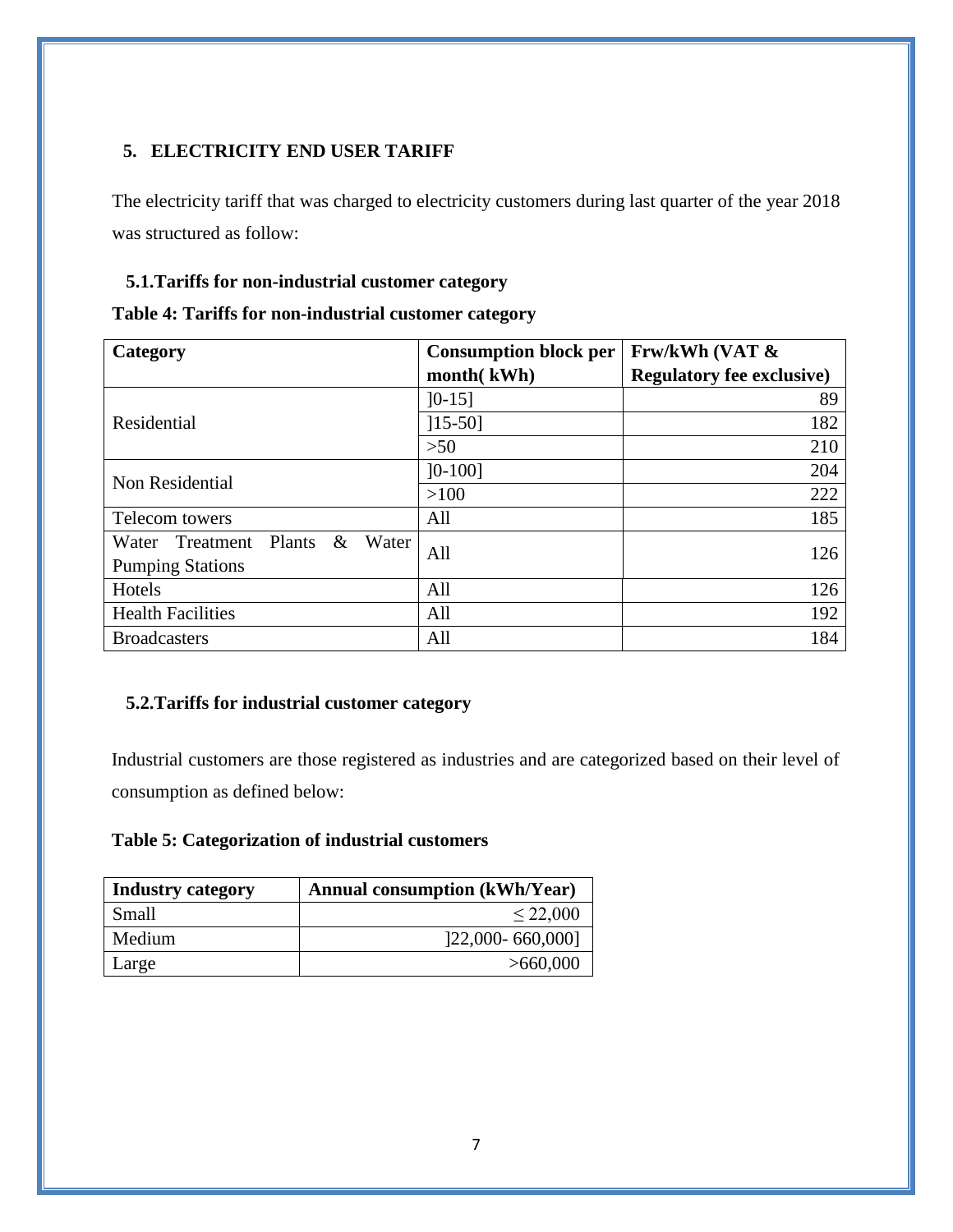# <span id="page-7-0"></span>**5. ELECTRICITY END USER TARIFF**

The electricity tariff that was charged to electricity customers during last quarter of the year 2018 was structured as follow:

### <span id="page-7-1"></span>**5.1.Tariffs for non-industrial customer category**

<span id="page-7-3"></span>

|  | Table 4: Tariffs for non-industrial customer category |  |
|--|-------------------------------------------------------|--|
|  |                                                       |  |

| Category                                          | <b>Consumption block per</b> | Frw/kWh (VAT &                   |  |
|---------------------------------------------------|------------------------------|----------------------------------|--|
|                                                   | month(kWh)                   | <b>Regulatory fee exclusive)</b> |  |
|                                                   | $]0-15]$                     | 89                               |  |
| Residential                                       | $[15-50]$                    | 182                              |  |
|                                                   | >50                          | 210                              |  |
| Non Residential                                   | $]0-100]$                    | 204                              |  |
|                                                   | >100                         | 222                              |  |
| Telecom towers                                    | All                          | 185                              |  |
| $\&$<br><b>Plants</b><br>Water<br>Water Treatment | All                          | 126                              |  |
| <b>Pumping Stations</b>                           |                              |                                  |  |
| Hotels                                            | All                          | 126                              |  |
| <b>Health Facilities</b>                          | All                          | 192                              |  |
| <b>Broadcasters</b>                               | All                          | 184                              |  |

## <span id="page-7-2"></span>**5.2.Tariffs for industrial customer category**

Industrial customers are those registered as industries and are categorized based on their level of consumption as defined below:

## <span id="page-7-4"></span>**Table 5: Categorization of industrial customers**

| <b>Industry category</b> | <b>Annual consumption (kWh/Year)</b> |
|--------------------------|--------------------------------------|
| Small                    | $\leq 22,000$                        |
| Medium                   | 122,000-660,0001                     |
| Large                    | >660,000                             |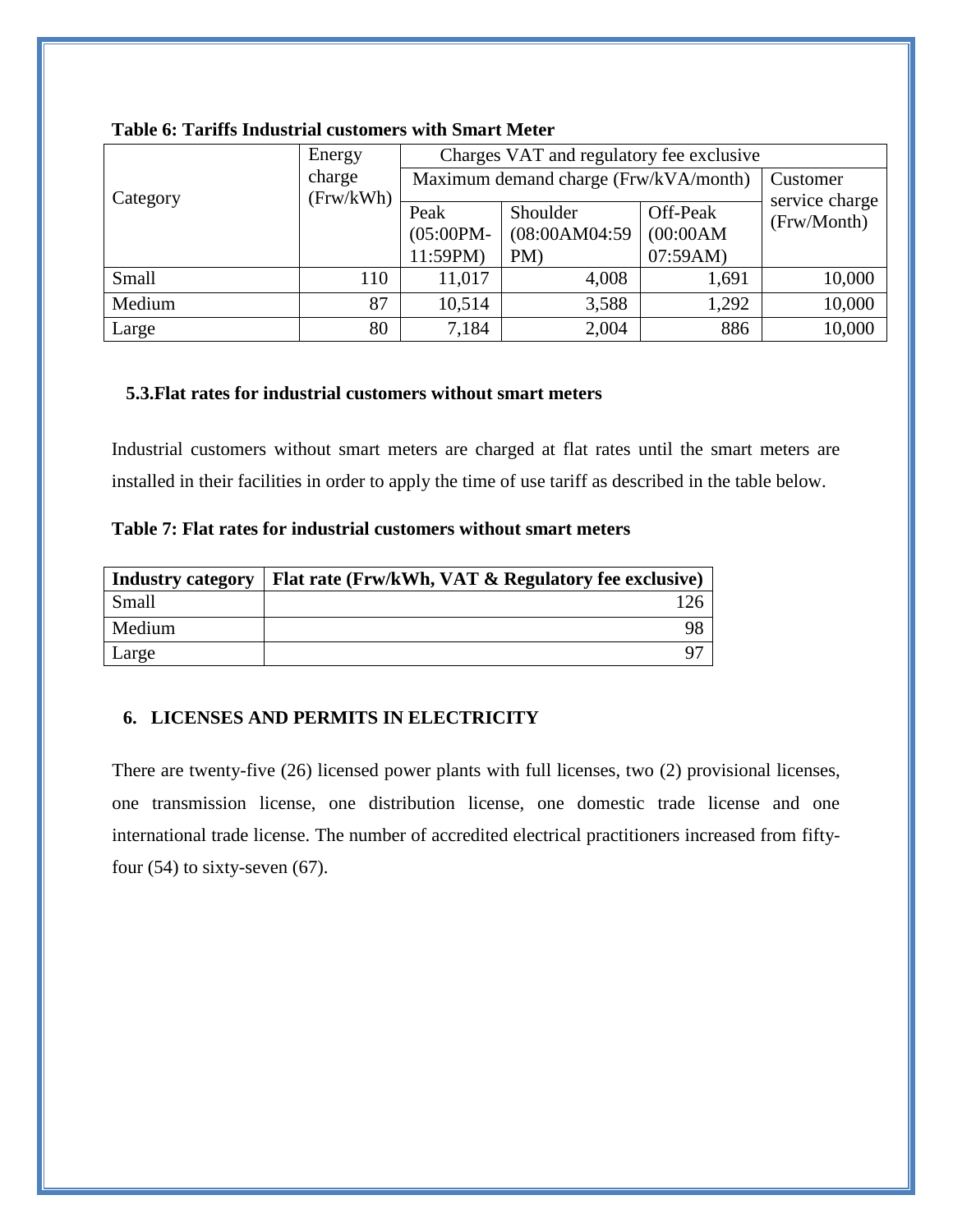|          | Energy              |                      | Charges VAT and regulatory fee exclusive |                       |                               |
|----------|---------------------|----------------------|------------------------------------------|-----------------------|-------------------------------|
|          | charge<br>(Frw/kWh) |                      | Maximum demand charge (Frw/kVA/month)    | Customer              |                               |
| Category |                     | Peak<br>$(05:00PM -$ | Shoulder<br>(08:00AM04:59)               | Off-Peak<br>(00:00AM) | service charge<br>(Frw/Month) |
|          |                     | 11:59PM)             | PM)                                      | 07:59AM)              |                               |
| Small    | 110                 | 11,017               | 4,008                                    | 1,691                 | 10,000                        |
| Medium   | 87                  | 10,514               | 3,588                                    | 1,292                 | 10,000                        |
| Large    | 80                  | 7,184                | 2,004                                    | 886                   | 10,000                        |

#### <span id="page-8-2"></span>**Table 6: Tariffs Industrial customers with Smart Meter**

#### <span id="page-8-0"></span>**5.3.Flat rates for industrial customers without smart meters**

Industrial customers without smart meters are charged at flat rates until the smart meters are installed in their facilities in order to apply the time of use tariff as described in the table below.

<span id="page-8-3"></span>

| Industry category | Flat rate (Frw/kWh, VAT & Regulatory fee exclusive) |
|-------------------|-----------------------------------------------------|
| Small             |                                                     |
| Medium            |                                                     |
| Large             |                                                     |

#### <span id="page-8-1"></span>**6. LICENSES AND PERMITS IN ELECTRICITY**

There are twenty-five (26) licensed power plants with full licenses, two (2) provisional licenses, one transmission license, one distribution license, one domestic trade license and one international trade license. The number of accredited electrical practitioners increased from fiftyfour  $(54)$  to sixty-seven  $(67)$ .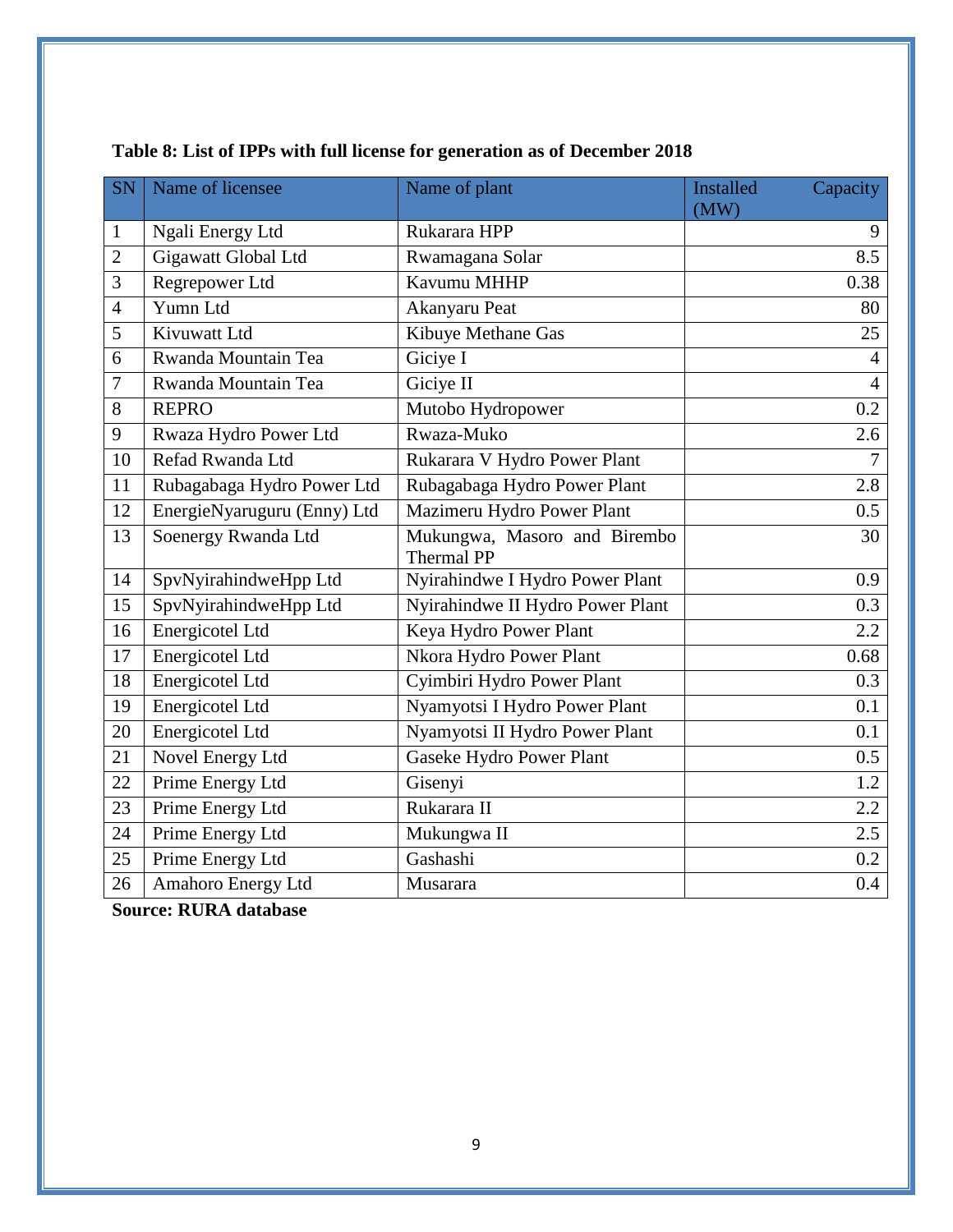| SN             | Name of licensee            | Name of plant                                     | <b>Installed</b><br>Capacity |
|----------------|-----------------------------|---------------------------------------------------|------------------------------|
|                |                             |                                                   | (MW)                         |
| $\mathbf{1}$   | Ngali Energy Ltd            | Rukarara HPP                                      | 9                            |
| $\overline{2}$ | Gigawatt Global Ltd         | Rwamagana Solar                                   | 8.5                          |
| $\mathfrak{Z}$ | Regrepower Ltd              | Kavumu MHHP                                       | 0.38                         |
| $\overline{4}$ | Yumn Ltd                    | Akanyaru Peat                                     | 80                           |
| 5              | Kivuwatt Ltd                | Kibuye Methane Gas                                | 25                           |
| 6              | Rwanda Mountain Tea         | Giciye I                                          | 4                            |
| 7              | Rwanda Mountain Tea         | Giciye II                                         | $\overline{4}$               |
| 8              | <b>REPRO</b>                | Mutobo Hydropower                                 | 0.2                          |
| 9              | Rwaza Hydro Power Ltd       | Rwaza-Muko                                        | 2.6                          |
| 10             | Refad Rwanda Ltd            | Rukarara V Hydro Power Plant                      | $\overline{7}$               |
| 11             | Rubagabaga Hydro Power Ltd  | Rubagabaga Hydro Power Plant                      | 2.8                          |
| 12             | EnergieNyaruguru (Enny) Ltd | Mazimeru Hydro Power Plant                        | 0.5                          |
| 13             | Soenergy Rwanda Ltd         | Mukungwa, Masoro and Birembo<br><b>Thermal PP</b> | 30                           |
| 14             | SpvNyirahindweHpp Ltd       | Nyirahindwe I Hydro Power Plant                   | 0.9                          |
| 15             | SpvNyirahindweHpp Ltd       | Nyirahindwe II Hydro Power Plant                  | 0.3                          |
| 16             | <b>Energicotel Ltd</b>      | Keya Hydro Power Plant                            | $2.2\,$                      |
| 17             | Energicotel Ltd             | Nkora Hydro Power Plant                           | 0.68                         |
| 18             | <b>Energicotel Ltd</b>      | Cyimbiri Hydro Power Plant                        | 0.3                          |
| 19             | Energicotel Ltd             | Nyamyotsi I Hydro Power Plant                     | 0.1                          |
| 20             | Energicotel Ltd             | Nyamyotsi II Hydro Power Plant                    | 0.1                          |
| 21             | Novel Energy Ltd            | Gaseke Hydro Power Plant                          | 0.5                          |
| 22             | Prime Energy Ltd            | Gisenyi                                           | 1.2                          |
| 23             | Prime Energy Ltd            | Rukarara II                                       | 2.2                          |
| 24             | Prime Energy Ltd            | Mukungwa II                                       | 2.5                          |
| 25             | Prime Energy Ltd            | Gashashi                                          | 0.2                          |
| 26             | Amahoro Energy Ltd          | Musarara                                          | 0.4                          |

# <span id="page-9-0"></span>**Table 8: List of IPPs with full license for generation as of December 2018**

**Source: RURA database**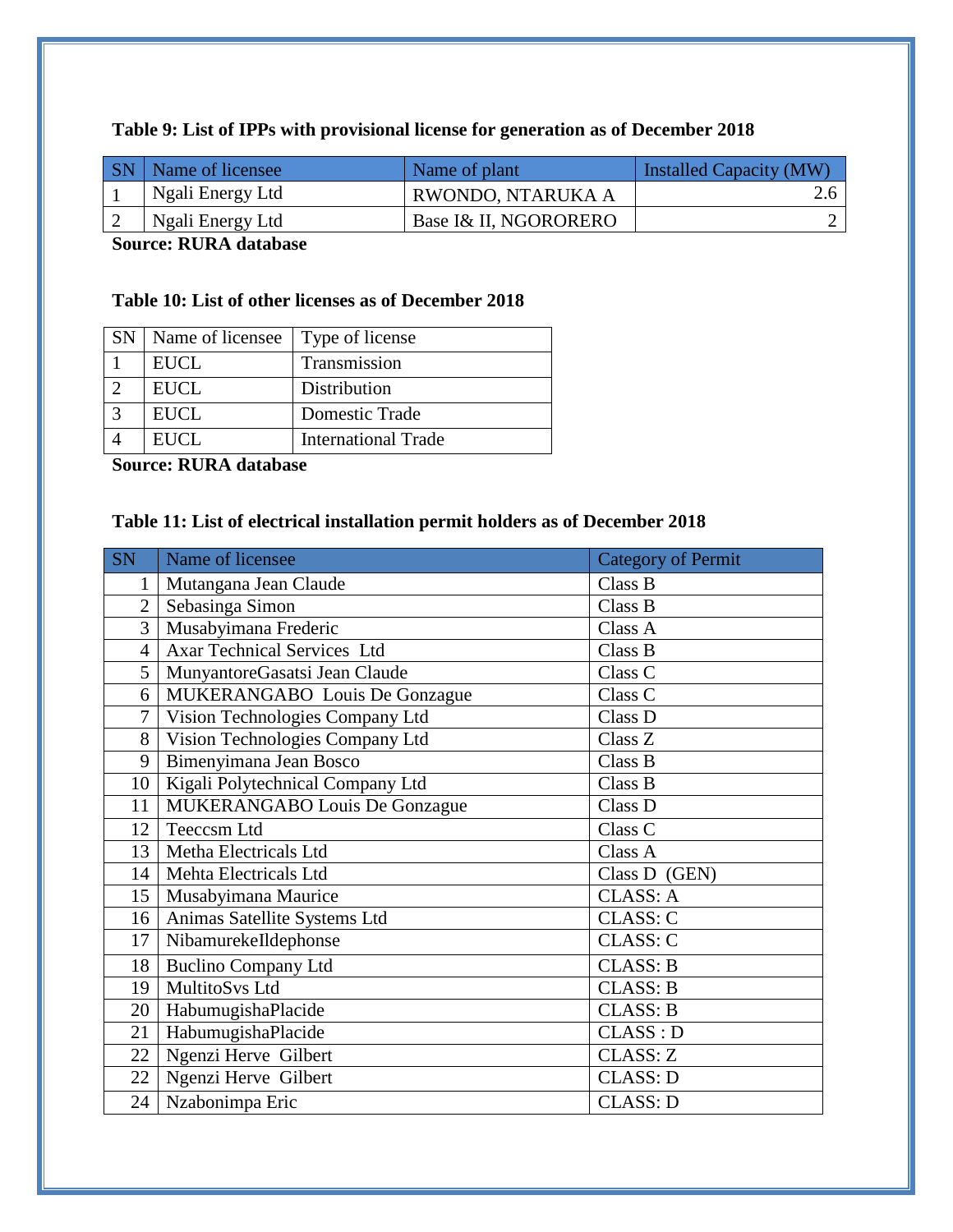<span id="page-10-0"></span>

|      | <b>SN</b>   Name of licensee | Name of plant         | Installed Capacity (MW) |
|------|------------------------------|-----------------------|-------------------------|
|      | Ngali Energy Ltd             | RWONDO, NTARUKA A     |                         |
|      | Ngali Energy Ltd             | Base I& II, NGORORERO |                         |
| ____ |                              |                       |                         |

#### **Source: RURA database**

# <span id="page-10-1"></span>**Table 10: List of other licenses as of December 2018**

| SN   Name of licensee   Type of license |                            |
|-----------------------------------------|----------------------------|
| <b>EUCL</b>                             | Transmission               |
| <b>EUCL</b>                             | Distribution               |
| <b>EUCL</b>                             | Domestic Trade             |
| <b>EUCL</b>                             | <b>International Trade</b> |

**Source: RURA database**

# <span id="page-10-2"></span>**Table 11: List of electrical installation permit holders as of December 2018**

| <b>SN</b>       | Name of licensee                   | <b>Category of Permit</b> |
|-----------------|------------------------------------|---------------------------|
| 1               | Mutangana Jean Claude              | Class B                   |
| $\overline{2}$  | Sebasinga Simon                    | Class B                   |
| 3               | Musabyimana Frederic               | Class A                   |
| $\overline{4}$  | <b>Axar Technical Services Ltd</b> | Class B                   |
| 5               | MunyantoreGasatsi Jean Claude      | Class C                   |
| 6               | MUKERANGABO Louis De Gonzague      | Class C                   |
| 7               | Vision Technologies Company Ltd    | Class D                   |
| 8 <sup>1</sup>  | Vision Technologies Company Ltd    | Class Z                   |
| 9               | Bimenyimana Jean Bosco             | Class B                   |
| 10              | Kigali Polytechnical Company Ltd   | Class B                   |
| 11              | MUKERANGABO Louis De Gonzague      | Class D                   |
| 12              | Teeccsm Ltd                        | Class C                   |
| 13 <sup>1</sup> | Metha Electricals Ltd              | Class A                   |
| 14              | Mehta Electricals Ltd              | Class D (GEN)             |
| 15              | Musabyimana Maurice                | <b>CLASS: A</b>           |
| 16              | Animas Satellite Systems Ltd       | <b>CLASS: C</b>           |
| 17              | NibamurekeIldephonse               | <b>CLASS: C</b>           |
| 18              | <b>Buclino Company Ltd</b>         | <b>CLASS: B</b>           |
| 19              | MultitoSvs Ltd                     | <b>CLASS: B</b>           |
| 20              | HabumugishaPlacide                 | <b>CLASS: B</b>           |
| 21              | HabumugishaPlacide                 | CLASS : D                 |
| 22              | Ngenzi Herve Gilbert               | <b>CLASS: Z</b>           |
| 22              | Ngenzi Herve Gilbert               | <b>CLASS: D</b>           |
| 24              | Nzabonimpa Eric                    | <b>CLASS: D</b>           |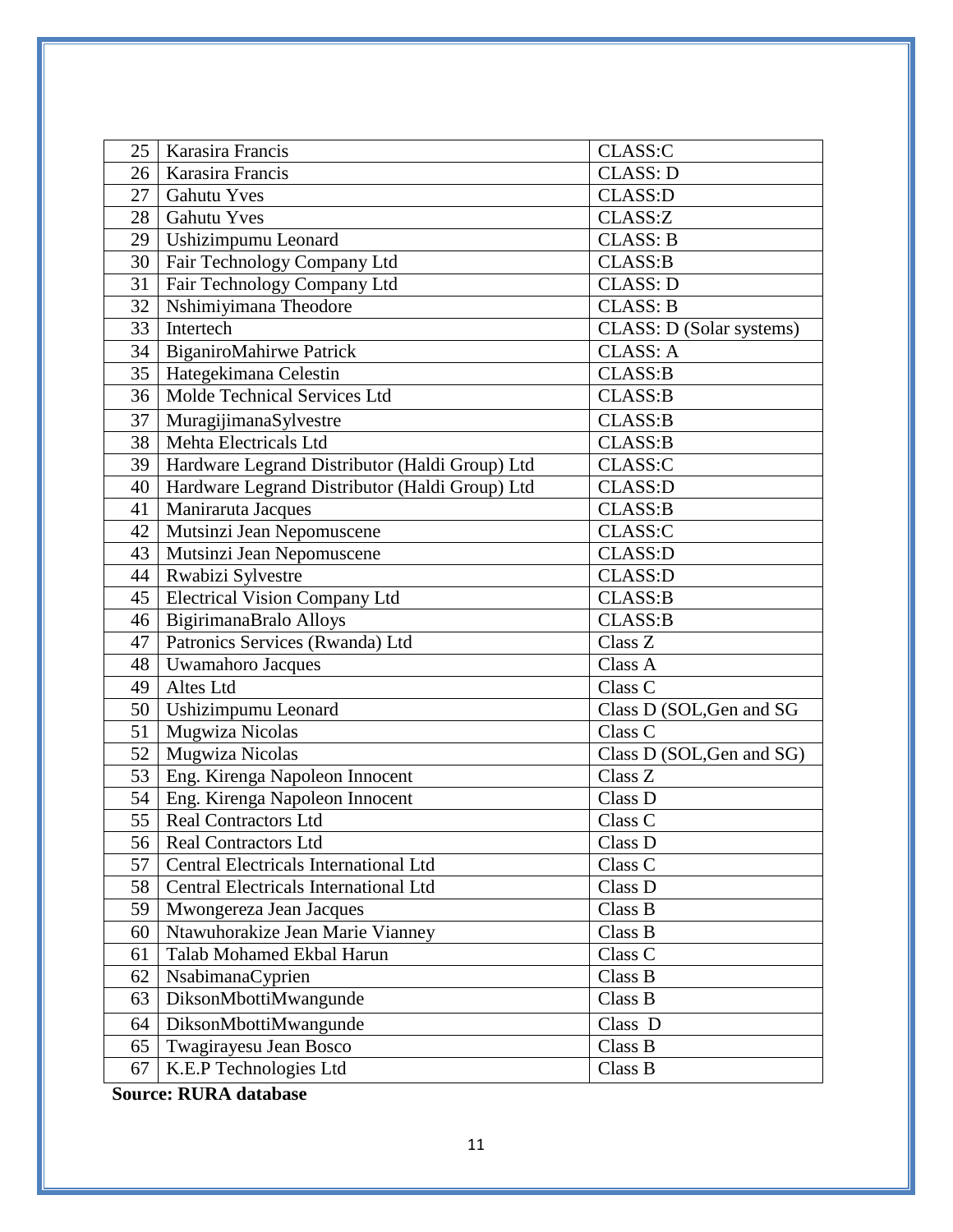| 25              | Karasira Francis                               | CLASS:C                     |
|-----------------|------------------------------------------------|-----------------------------|
| 26              | Karasira Francis                               | <b>CLASS: D</b>             |
| 27              | <b>Gahutu Yves</b>                             | <b>CLASS:D</b>              |
| 28              | <b>Gahutu Yves</b>                             | CLASS:Z                     |
| 29              | Ushizimpumu Leonard                            | <b>CLASS: B</b>             |
| 30 <sup>1</sup> | Fair Technology Company Ltd                    | <b>CLASS:B</b>              |
| 31              | Fair Technology Company Ltd                    | <b>CLASS: D</b>             |
| 32              | Nshimiyimana Theodore                          | <b>CLASS: B</b>             |
| 33              | Intertech                                      | CLASS: D (Solar systems)    |
| 34              | <b>BiganiroMahirwe Patrick</b>                 | <b>CLASS: A</b>             |
| 35              | Hategekimana Celestin                          | <b>CLASS:B</b>              |
| 36              | Molde Technical Services Ltd                   | <b>CLASS:B</b>              |
| 37              | MuragijimanaSylvestre                          | <b>CLASS:B</b>              |
| 38              | Mehta Electricals Ltd                          | <b>CLASS:B</b>              |
| 39              | Hardware Legrand Distributor (Haldi Group) Ltd | CLASS:C                     |
| 40              | Hardware Legrand Distributor (Haldi Group) Ltd | <b>CLASS:D</b>              |
| 41              | Maniraruta Jacques                             | <b>CLASS:B</b>              |
| 42              | Mutsinzi Jean Nepomuscene                      | CLASS:C                     |
| 43              | Mutsinzi Jean Nepomuscene                      | <b>CLASS:D</b>              |
| 44              | Rwabizi Sylvestre                              | <b>CLASS:D</b>              |
|                 | 45   Electrical Vision Company Ltd             | CLASS:B                     |
| 46              | BigirimanaBralo Alloys                         | <b>CLASS:B</b>              |
| 47              | Patronics Services (Rwanda) Ltd                | Class Z                     |
| 48              | Uwamahoro Jacques                              | $\overline{\text{Class A}}$ |
| 49              | Altes Ltd                                      | Class C                     |
| 50              | Ushizimpumu Leonard                            | Class D (SOL, Gen and SG    |
| 51              | Mugwiza Nicolas                                | Class C                     |
| 52              | Mugwiza Nicolas                                | Class D (SOL, Gen and SG)   |
| 53              | Eng. Kirenga Napoleon Innocent                 | Class Z                     |
| 54              | Eng. Kirenga Napoleon Innocent                 | Class D                     |
| 55              | <b>Real Contractors Ltd</b>                    | Class C                     |
| 56              | Real Contractors Ltd                           | Class D                     |
| 57              | Central Electricals International Ltd          | Class C                     |
| 58              | Central Electricals International Ltd          | Class D                     |
| 59              | Mwongereza Jean Jacques                        | Class B                     |
| 60              | Ntawuhorakize Jean Marie Vianney               | Class B                     |
| 61              | Talab Mohamed Ekbal Harun                      | Class C                     |
| 62              | NsabimanaCyprien                               | Class B                     |
| 63              | DiksonMbottiMwangunde                          | Class B                     |
| 64              | DiksonMbottiMwangunde                          | Class D                     |
| 65              | Twagirayesu Jean Bosco                         | Class B                     |
| 67              | K.E.P Technologies Ltd                         | Class B                     |

**Source: RURA database**